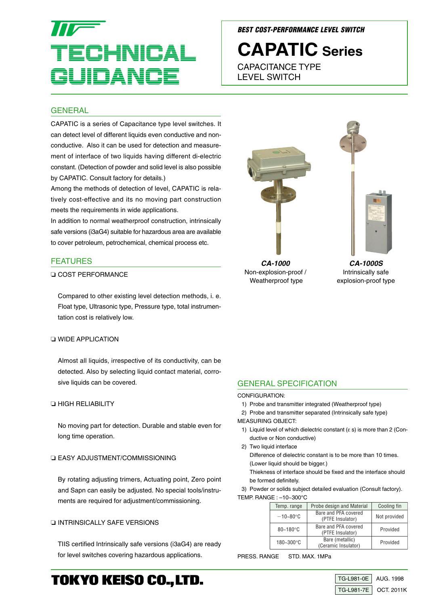# HNICAL JID ANI

#### **BEST COST-PERFORMANCE LEVEL SWITCH**

# **CAPATIC Series**

CAPACITANCE TYPE LEVEL SWITCH

#### **GENERAL**

CAPATIC is a series of Capacitance type level switches. It can detect level of different liquids even conductive and nonconductive. Also it can be used for detection and measurement of interface of two liquids having different di-electric constant. (Detection of powder and solid level is also possible by CAPATIC. Consult factory for details.)

Among the methods of detection of level, CAPATIC is relatively cost-effective and its no moving part construction meets the requirements in wide applications.

In addition to normal weatherproof construction, intrinsically safe versions (i3aG4) suitable for hazardous area are available to cover petroleum, petrochemical, chemical process etc.

#### FEATURES

❏ COST PERFORMANCE

Compared to other existing level detection methods, i. e. Float type, Ultrasonic type, Pressure type, total instrumentation cost is relatively low.

#### ❏ WIDE APPLICATION

Almost all liquids, irrespective of its conductivity, can be detected. Also by selecting liquid contact material, corrosive liquids can be covered.

#### ❏ HIGH RELIABILITY

No moving part for detection. Durable and stable even for long time operation.

#### ❏ EASY ADJUSTMENT/COMMISSIONING

By rotating adjusting trimers, Actuating point, Zero point and Sapn can easily be adjusted. No special tools/instruments are required for adjustment/commissioning.

#### ❏ INTRINSICALLY SAFE VERSIONS

TIIS certified Intrinsically safe versions (i3aG4) are ready for level switches covering hazardous applications.

**CA-1000** Non-explosion-proof / Weatherproof type

**CA-1000S** Intrinsically safe explosion-proof type

#### GENERAL SPECIFICATION

#### CONFIGURATION:

1) Probe and transmitter integrated (Weatherproof type)

2) Probe and transmitter separated (Intrinsically safe type) MEASURING OBJECT:

- 1) Liquid level of which dielectric constant ( $\varepsilon$  s) is more than 2 (Conductive or Non conductive)
- 2) Two liquid interface

Difference of dielectric constant is to be more than 10 times. (Lower liquid should be bigger.)

Thiekness of interface should be fixed and the interface should be formed definitely.

3) Powder or solids subject detailed evaluation (Consult factory). TEMP. RANGE : –10~300°C

| Temp. range    | Probe design and Material                | Cooling fin  |  |  |
|----------------|------------------------------------------|--------------|--|--|
| $-10 - 80$ °C  | Bare and PFA covered<br>(PTFE Insulator) | Not provided |  |  |
| $80 - 180$ °C  | Bare and PFA covered<br>(PTFE Insulator) | Provided     |  |  |
| $180 - 300$ °C | Bare (metallic)<br>(Ceramic Insulator)   | Provided     |  |  |

PRESS. RANGE STD. MAX. 1MPa





## **TOKYO KEISO CO., LTD.**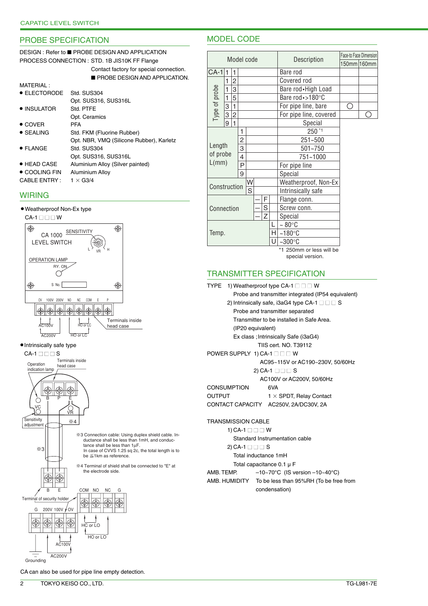#### PROBE SPECIFICATION

#### DESIGN : Refer to ■ PROBE DESIGN AND APPLICATION PROCESS CONNECTION : STD. 1B JIS10K FF Flange

| Contact factory for special connection. |
|-----------------------------------------|
| <b>PROBE DESIGN AND APPLICATION.</b>    |

| MATFRIAI:             |                                          |
|-----------------------|------------------------------------------|
| $\bullet$ ELECTORODE  | Std. SUS304                              |
|                       | Opt. SUS316, SUS316L                     |
| $\bullet$ INSULATOR   | Std. PTFF                                |
|                       | Opt. Ceramics                            |
| $\bullet$ COVER       | PFA                                      |
| $\bullet$ SEALING     | Std. FKM (Fluorine Rubber)               |
|                       | Opt. NBR, VMQ (Silicone Rubber), Karletz |
| $\bullet$ FLANGE      | Std. SUS304                              |
|                       | Opt. SUS316, SUS316L                     |
| ● HEAD CASE           | Aluminium Alloy (Silver painted)         |
| $\bullet$ COOLING FIN | Aluminium Alloy                          |
| <b>CABLE ENTRY:</b>   | $1 \times$ G3/4                          |
|                       |                                          |

#### **WIRING**







● Intrinsically safe type



| windin<br>n<br>×<br>× |
|-----------------------|
|-----------------------|

CA can also be used for pipe line empty detection.

### MODEL CODE

|            |                   |             |                |   |             |             |   |                      |                          | Face-to Face Dimension |  |
|------------|-------------------|-------------|----------------|---|-------------|-------------|---|----------------------|--------------------------|------------------------|--|
| Model code |                   |             |                |   | Description | 150mm 160mm |   |                      |                          |                        |  |
|            | $CA-1$ 1<br>1     |             |                |   |             | Bare rod    |   |                      |                          |                        |  |
|            |                   | 1           | 2              |   |             |             |   |                      | Covered rod              |                        |  |
|            | Type of probe     | 1           | 3              |   |             |             |   |                      | Bare rod . High Load     |                        |  |
|            |                   | $\mathbf 1$ | 5              |   |             |             |   |                      | Bare rod · > 180°C       |                        |  |
|            |                   | 3           | 1              |   |             |             |   |                      | For pipe line, bare      | ( )                    |  |
|            |                   | 3           | $\overline{c}$ |   |             |             |   |                      | For pipe line, covered   |                        |  |
|            |                   | 9           | 1              |   |             |             |   |                      | Special                  |                        |  |
|            |                   |             |                | 1 |             |             |   |                      | 250 *1                   |                        |  |
|            |                   |             |                | 2 |             |             |   |                      | 251~500                  |                        |  |
|            | Length            |             |                | 3 |             |             |   |                      | 501~750                  |                        |  |
|            |                   | of probe    |                |   |             |             |   |                      | 751~1000                 |                        |  |
|            | L(mm)             |             |                | P |             |             |   |                      | For pipe line            |                        |  |
|            |                   |             |                | 9 |             |             |   |                      | Special                  |                        |  |
|            | W<br>Construction |             |                |   |             |             |   | Weatherproof, Non-Ex |                          |                        |  |
|            | S                 |             |                |   |             |             |   |                      | Intrinsically safe       |                        |  |
|            | F                 |             |                |   |             |             |   |                      | Flange conn.             |                        |  |
|            |                   | Connection  |                |   |             |             | S |                      | Screw conn.              |                        |  |
|            | Z                 |             |                |   |             |             |   |                      | Special                  |                        |  |
|            | Temp.             |             |                |   |             |             |   |                      | $~10^{\circ}$ C          |                        |  |
|            |                   |             |                |   |             |             |   | H                    | $~180^{\circ}$ C         |                        |  |
|            |                   |             |                |   |             |             |   | U                    | $~100^{\circ}$ C         |                        |  |
|            |                   |             |                |   |             |             |   |                      | *1 250mm or less will be |                        |  |
|            |                   |             |                |   |             |             |   |                      | special version.         |                        |  |

#### TRANSMITTER SPECIFICATION



Total inductance 1mH Total capacitance 0.1 µ F

AMB. TEMP.  $-10~70^{\circ}$ C (IS version  $-10~40^{\circ}$ C)

AMB. HUMIDITY To be less than 95%RH (To be free from condensation)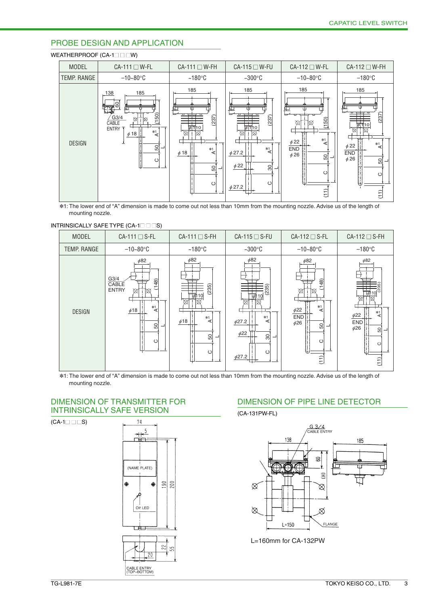#### PROBE DESIGN AND APPLICATION

#### WEATHERPROOF (CA-1□□ □W)

| <b>MODEL</b>  | $CA-111 \square W-FL$                                                                                                  | $CA-111 \square W-FH$                                                  | CA-115 □ W-FU                                                                                            | $CA-112 \square W-FL$                                                                                | CA-112 □ W-FH                                                                                                      |  |
|---------------|------------------------------------------------------------------------------------------------------------------------|------------------------------------------------------------------------|----------------------------------------------------------------------------------------------------------|------------------------------------------------------------------------------------------------------|--------------------------------------------------------------------------------------------------------------------|--|
| TEMP. RANGE   | $-10 - 80$ °C                                                                                                          | $~180^{\circ}$ C                                                       | $~100^{\circ}$ C                                                                                         | $-10 - 80$ °C                                                                                        | $-180^\circ$ C                                                                                                     |  |
| <b>DESIGN</b> | 185<br>138<br>8<br>(150)<br>$\sqrt{G}3/4$<br>Ծ<br>CABLE<br>г<br>ENTRY T<br>$*1$<br>$\phi$ 18<br>⋖<br>±<br>8<br>$\circ$ | 185<br>(237)<br>ৰ্ট্যাৰ্ণা0<br>$*1$<br>$\phi$ 18<br>⋖<br>50<br>$\circ$ | 185<br>(237)<br>ঢ়∏া<br>$*1$<br>⋖<br>$\phi$ 27.2<br>$\phi$ 22<br>$\frac{8}{3}$<br>$\circ$<br>$\phi$ 27.2 | 185<br>(150)<br>∞<br>$\overline{4}$<br>$\phi$ 22<br><b>END</b><br>$\phi$ 26<br>50<br>$\circ$<br>(11) | 185<br>(237)<br>$\overline{\mathcal{A}}$<br>$\phi$ 22<br><b>END</b><br>$\phi$ 26<br>8<br>$\circ$<br>$\widehat{11}$ |  |

✽1: The lower end of "A" dimension is made to come out not less than 10mm from the mounting nozzle. Advise us of the length of mounting nozzle.

### INTRINSICALLY SAFE TYPE (CA-1□□□S)



✽1: The lower end of "A" dimension is made to come out not less than 10mm from the mounting nozzle. Advise us of the length of mounting nozzle.

#### DIMENSION OF TRANSMITTER FOR INTRINSICALLY SAFE VERSION

 $(CA-1 \square \square \square S)$ 



#### DIMENSION OF PIPE LINE DETECTOR

(CA-131PW-FL)



L=160mm for CA-132PW